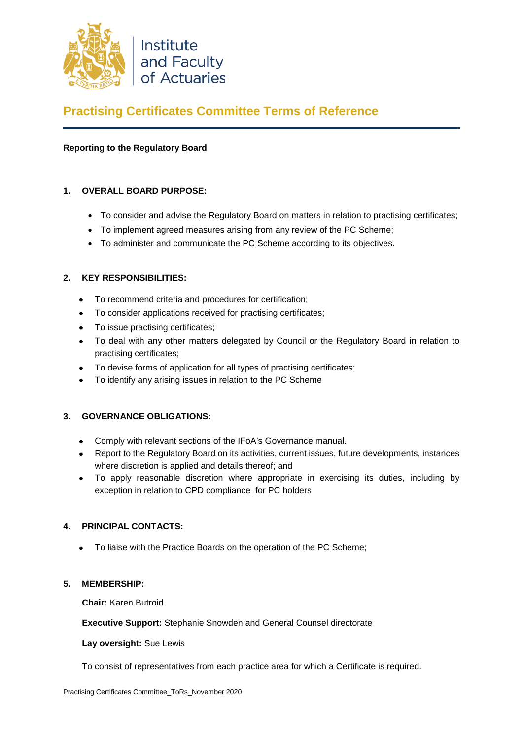

# **Practising Certificates Committee Terms of Reference**

## **Reporting to the Regulatory Board**

## **1. OVERALL BOARD PURPOSE:**

- To consider and advise the Regulatory Board on matters in relation to practising certificates;
- To implement agreed measures arising from any review of the PC Scheme;
- To administer and communicate the PC Scheme according to its objectives.

## **2. KEY RESPONSIBILITIES:**

- To recommend criteria and procedures for certification;
- To consider applications received for practising certificates;
- To issue practising certificates;
- To deal with any other matters delegated by Council or the Regulatory Board in relation to practising certificates;
- To devise forms of application for all types of practising certificates;
- To identify any arising issues in relation to the PC Scheme

#### **3. GOVERNANCE OBLIGATIONS:**

- Comply with relevant sections of the IFoA's Governance manual.
- Report to the Regulatory Board on its activities, current issues, future developments, instances where discretion is applied and details thereof; and
- To apply reasonable discretion where appropriate in exercising its duties, including by exception in relation to CPD compliance for PC holders

#### **4. PRINCIPAL CONTACTS:**

• To liaise with the Practice Boards on the operation of the PC Scheme;

#### **5. MEMBERSHIP:**

**Chair:** Karen Butroid

**Executive Support:** Stephanie Snowden and General Counsel directorate

#### **Lay oversight:** Sue Lewis

To consist of representatives from each practice area for which a Certificate is required.